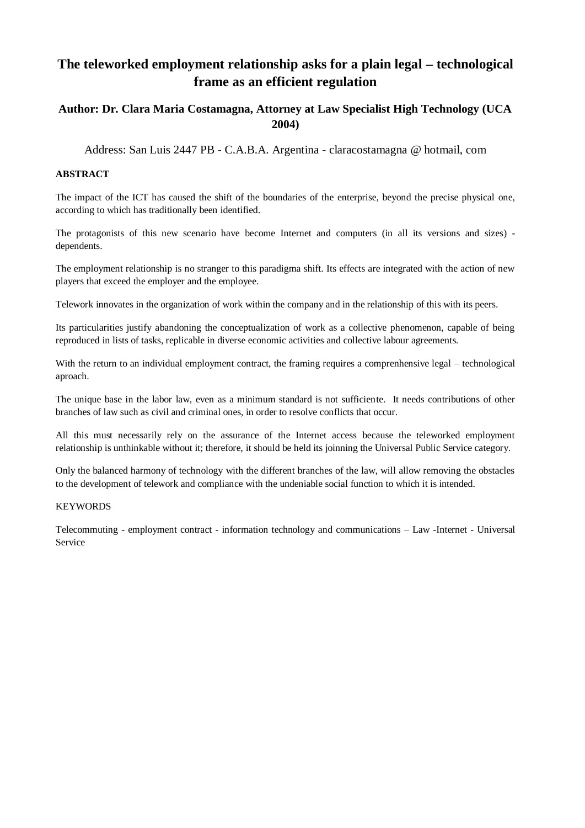# **The teleworked employment relationship asks for a plain legal – technological frame as an efficient regulation**

## **Author: Dr. Clara Maria Costamagna, Attorney at Law Specialist High Technology (UCA 2004)**

Address: San Luis 2447 PB - C.A.B.A. Argentina - claracostamagna @ hotmail, com

## **ABSTRACT**

The impact of the ICT has caused the shift of the boundaries of the enterprise, beyond the precise physical one, according to which has traditionally been identified.

The protagonists of this new scenario have become Internet and computers (in all its versions and sizes) dependents.

The employment relationship is no stranger to this paradigma shift. Its effects are integrated with the action of new players that exceed the employer and the employee.

Telework innovates in the organization of work within the company and in the relationship of this with its peers.

Its particularities justify abandoning the conceptualization of work as a collective phenomenon, capable of being reproduced in lists of tasks, replicable in diverse economic activities and collective labour agreements.

With the return to an individual employment contract, the framing requires a comprenhensive legal – technological aproach.

The unique base in the labor law, even as a minimum standard is not sufficiente. It needs contributions of other branches of law such as civil and criminal ones, in order to resolve conflicts that occur.

All this must necessarily rely on the assurance of the Internet access because the teleworked employment relationship is unthinkable without it; therefore, it should be held its joinning the Universal Public Service category.

Only the balanced harmony of technology with the different branches of the law, will allow removing the obstacles to the development of telework and compliance with the undeniable social function to which it is intended.

#### **KEYWORDS**

Telecommuting - employment contract - information technology and communications – Law -Internet - Universal Service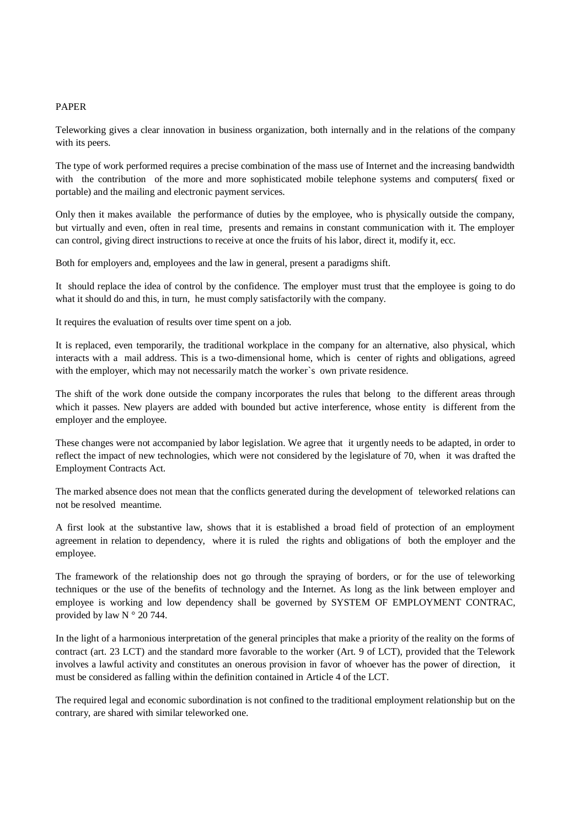#### PAPER

Teleworking gives a clear innovation in business organization, both internally and in the relations of the company with its peers.

The type of work performed requires a precise combination of the mass use of Internet and the increasing bandwidth with the contribution of the more and more sophisticated mobile telephone systems and computers( fixed or portable) and the mailing and electronic payment services.

Only then it makes available the performance of duties by the employee, who is physically outside the company, but virtually and even, often in real time, presents and remains in constant communication with it. The employer can control, giving direct instructions to receive at once the fruits of his labor, direct it, modify it, ecc.

Both for employers and, employees and the law in general, present a paradigms shift.

It should replace the idea of control by the confidence. The employer must trust that the employee is going to do what it should do and this, in turn, he must comply satisfactorily with the company.

It requires the evaluation of results over time spent on a job.

It is replaced, even temporarily, the traditional workplace in the company for an alternative, also physical, which interacts with a mail address. This is a two-dimensional home, which is center of rights and obligations, agreed with the employer, which may not necessarily match the worker`s own private residence.

The shift of the work done outside the company incorporates the rules that belong to the different areas through which it passes. New players are added with bounded but active interference, whose entity is different from the employer and the employee.

These changes were not accompanied by labor legislation. We agree that it urgently needs to be adapted, in order to reflect the impact of new technologies, which were not considered by the legislature of 70, when it was drafted the Employment Contracts Act.

The marked absence does not mean that the conflicts generated during the development of teleworked relations can not be resolved meantime.

A first look at the substantive law, shows that it is established a broad field of protection of an employment agreement in relation to dependency, where it is ruled the rights and obligations of both the employer and the employee.

The framework of the relationship does not go through the spraying of borders, or for the use of teleworking techniques or the use of the benefits of technology and the Internet. As long as the link between employer and employee is working and low dependency shall be governed by SYSTEM OF EMPLOYMENT CONTRAC, provided by law  $N \circ 20$  744.

In the light of a harmonious interpretation of the general principles that make a priority of the reality on the forms of contract (art. 23 LCT) and the standard more favorable to the worker (Art. 9 of LCT), provided that the Telework involves a lawful activity and constitutes an onerous provision in favor of whoever has the power of direction, it must be considered as falling within the definition contained in Article 4 of the LCT.

The required legal and economic subordination is not confined to the traditional employment relationship but on the contrary, are shared with similar teleworked one.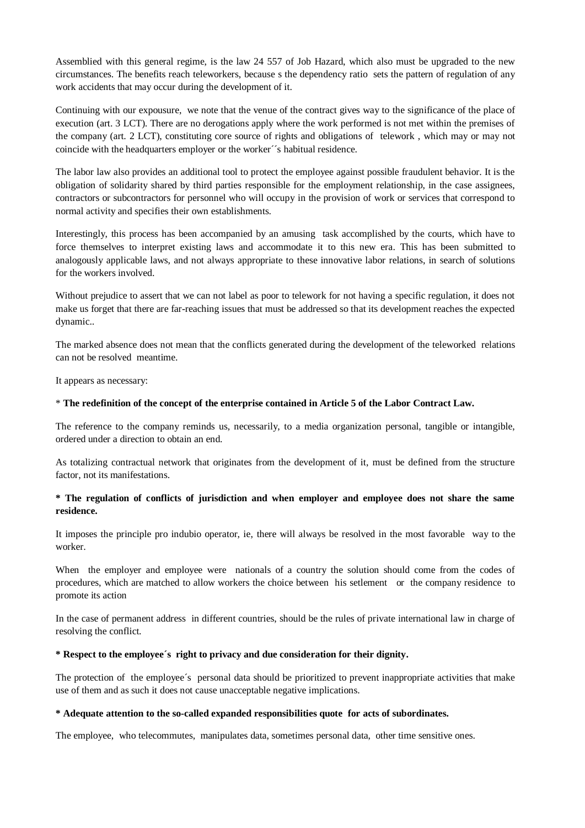Assemblied with this general regime, is the law 24 557 of Job Hazard, which also must be upgraded to the new circumstances. The benefits reach teleworkers, because s the dependency ratio sets the pattern of regulation of any work accidents that may occur during the development of it.

Continuing with our expousure, we note that the venue of the contract gives way to the significance of the place of execution (art. 3 LCT). There are no derogations apply where the work performed is not met within the premises of the company (art. 2 LCT), constituting core source of rights and obligations of telework , which may or may not coincide with the headquarters employer or the worker´´s habitual residence.

The labor law also provides an additional tool to protect the employee against possible fraudulent behavior. It is the obligation of solidarity shared by third parties responsible for the employment relationship, in the case assignees, contractors or subcontractors for personnel who will occupy in the provision of work or services that correspond to normal activity and specifies their own establishments.

Interestingly, this process has been accompanied by an amusing task accomplished by the courts, which have to force themselves to interpret existing laws and accommodate it to this new era. This has been submitted to analogously applicable laws, and not always appropriate to these innovative labor relations, in search of solutions for the workers involved.

Without prejudice to assert that we can not label as poor to telework for not having a specific regulation, it does not make us forget that there are far-reaching issues that must be addressed so that its development reaches the expected dynamic..

The marked absence does not mean that the conflicts generated during the development of the teleworked relations can not be resolved meantime.

It appears as necessary:

#### \* **The redefinition of the concept of the enterprise contained in Article 5 of the Labor Contract Law.**

The reference to the company reminds us, necessarily, to a media organization personal, tangible or intangible, ordered under a direction to obtain an end.

As totalizing contractual network that originates from the development of it, must be defined from the structure factor, not its manifestations.

## **\* The regulation of conflicts of jurisdiction and when employer and employee does not share the same residence.**

It imposes the principle pro indubio operator, ie, there will always be resolved in the most favorable way to the worker.

When the employer and employee were nationals of a country the solution should come from the codes of procedures, which are matched to allow workers the choice between his setlement or the company residence to promote its action

In the case of permanent address in different countries, should be the rules of private international law in charge of resolving the conflict.

#### **\* Respect to the employee´s right to privacy and due consideration for their dignity.**

The protection of the employee´s personal data should be prioritized to prevent inappropriate activities that make use of them and as such it does not cause unacceptable negative implications.

#### **\* Adequate attention to the so-called expanded responsibilities quote for acts of subordinates.**

The employee, who telecommutes, manipulates data, sometimes personal data, other time sensitive ones.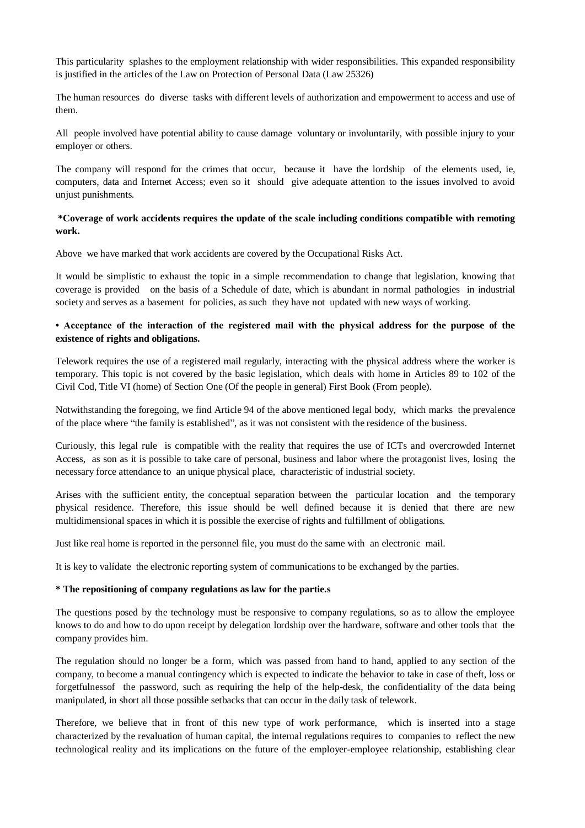This particularity splashes to the employment relationship with wider responsibilities. This expanded responsibility is justified in the articles of the Law on Protection of Personal Data (Law 25326)

The human resources do diverse tasks with different levels of authorization and empowerment to access and use of them.

All people involved have potential ability to cause damage voluntary or involuntarily, with possible injury to your employer or others.

The company will respond for the crimes that occur, because it have the lordship of the elements used, ie, computers, data and Internet Access; even so it should give adequate attention to the issues involved to avoid unjust punishments.

**\*Coverage of work accidents requires the update of the scale including conditions compatible with remoting work.** 

Above we have marked that work accidents are covered by the Occupational Risks Act.

It would be simplistic to exhaust the topic in a simple recommendation to change that legislation, knowing that coverage is provided on the basis of a Schedule of date, which is abundant in normal pathologies in industrial society and serves as a basement for policies, as such they have not updated with new ways of working.

## **• Acceptance of the interaction of the registered mail with the physical address for the purpose of the existence of rights and obligations.**

Telework requires the use of a registered mail regularly, interacting with the physical address where the worker is temporary. This topic is not covered by the basic legislation, which deals with home in Articles 89 to 102 of the Civil Cod, Title VI (home) of Section One (Of the people in general) First Book (From people).

Notwithstanding the foregoing, we find Article 94 of the above mentioned legal body, which marks the prevalence of the place where "the family is established", as it was not consistent with the residence of the business.

Curiously, this legal rule is compatible with the reality that requires the use of ICTs and overcrowded Internet Access, as son as it is possible to take care of personal, business and labor where the protagonist lives, losing the necessary force attendance to an unique physical place, characteristic of industrial society.

Arises with the sufficient entity, the conceptual separation between the particular location and the temporary physical residence. Therefore, this issue should be well defined because it is denied that there are new multidimensional spaces in which it is possible the exercise of rights and fulfillment of obligations.

Just like real home is reported in the personnel file, you must do the same with an electronic mail.

It is key to valídate the electronic reporting system of communications to be exchanged by the parties.

#### **\* The repositioning of company regulations as law for the partie.s**

The questions posed by the technology must be responsive to company regulations, so as to allow the employee knows to do and how to do upon receipt by delegation lordship over the hardware, software and other tools that the company provides him.

The regulation should no longer be a form, which was passed from hand to hand, applied to any section of the company, to become a manual contingency which is expected to indicate the behavior to take in case of theft, loss or forgetfulnessof the password, such as requiring the help of the help-desk, the confidentiality of the data being manipulated, in short all those possible setbacks that can occur in the daily task of telework.

Therefore, we believe that in front of this new type of work performance, which is inserted into a stage characterized by the revaluation of human capital, the internal regulations requires to companies to reflect the new technological reality and its implications on the future of the employer-employee relationship, establishing clear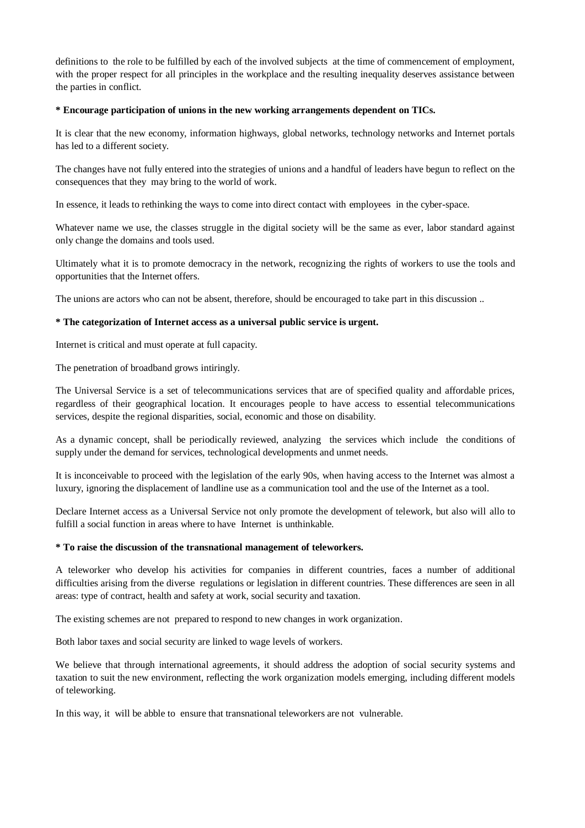definitions to the role to be fulfilled by each of the involved subjects at the time of commencement of employment, with the proper respect for all principles in the workplace and the resulting inequality deserves assistance between the parties in conflict.

#### **\* Encourage participation of unions in the new working arrangements dependent on TICs.**

It is clear that the new economy, information highways, global networks, technology networks and Internet portals has led to a different society.

The changes have not fully entered into the strategies of unions and a handful of leaders have begun to reflect on the consequences that they may bring to the world of work.

In essence, it leads to rethinking the ways to come into direct contact with employees in the cyber-space.

Whatever name we use, the classes struggle in the digital society will be the same as ever, labor standard against only change the domains and tools used.

Ultimately what it is to promote democracy in the network, recognizing the rights of workers to use the tools and opportunities that the Internet offers.

The unions are actors who can not be absent, therefore, should be encouraged to take part in this discussion ..

### **\* The categorization of Internet access as a universal public service is urgent.**

Internet is critical and must operate at full capacity.

The penetration of broadband grows intiringly.

The Universal Service is a set of telecommunications services that are of specified quality and affordable prices, regardless of their geographical location. It encourages people to have access to essential telecommunications services, despite the regional disparities, social, economic and those on disability.

As a dynamic concept, shall be periodically reviewed, analyzing the services which include the conditions of supply under the demand for services, technological developments and unmet needs.

It is inconceivable to proceed with the legislation of the early 90s, when having access to the Internet was almost a luxury, ignoring the displacement of landline use as a communication tool and the use of the Internet as a tool.

Declare Internet access as a Universal Service not only promote the development of telework, but also will allo to fulfill a social function in areas where to have Internet is unthinkable.

#### **\* To raise the discussion of the transnational management of teleworkers.**

A teleworker who develop his activities for companies in different countries, faces a number of additional difficulties arising from the diverse regulations or legislation in different countries. These differences are seen in all areas: type of contract, health and safety at work, social security and taxation.

The existing schemes are not prepared to respond to new changes in work organization.

Both labor taxes and social security are linked to wage levels of workers.

We believe that through international agreements, it should address the adoption of social security systems and taxation to suit the new environment, reflecting the work organization models emerging, including different models of teleworking.

In this way, it will be abble to ensure that transnational teleworkers are not vulnerable.